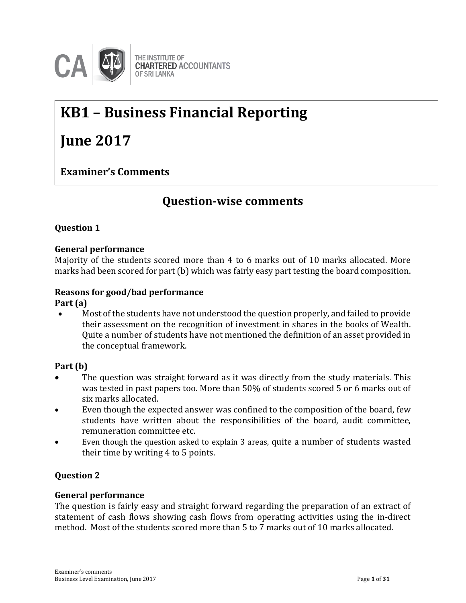

# **KB1 – Business Financial Reporting**

# **June 2017**

# **Examiner's Comments**

# **Question-wise comments**

# **Question 1**

## **General performance**

Majority of the students scored more than 4 to 6 marks out of 10 marks allocated. More marks had been scored for part (b) which was fairly easy part testing the board composition.

### **Reasons for good/bad performance**

**Part (a)**

 Most of the students have not understood the question properly, and failed to provide their assessment on the recognition of investment in shares in the books of Wealth. Quite a number of students have not mentioned the definition of an asset provided in the conceptual framework.

## **Part (b)**

- The question was straight forward as it was directly from the study materials. This was tested in past papers too. More than 50% of students scored 5 or 6 marks out of six marks allocated.
- Even though the expected answer was confined to the composition of the board, few students have written about the responsibilities of the board, audit committee, remuneration committee etc.
- Even though the question asked to explain 3 areas, quite a number of students wasted their time by writing 4 to 5 points.

## **Question 2**

#### **General performance**

The question is fairly easy and straight forward regarding the preparation of an extract of statement of cash flows showing cash flows from operating activities using the in-direct method. Most of the students scored more than 5 to 7 marks out of 10 marks allocated.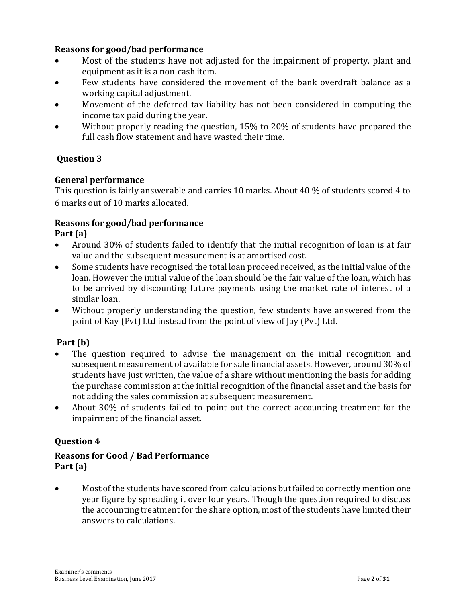# **Reasons for good/bad performance**

- Most of the students have not adjusted for the impairment of property, plant and equipment as it is a non-cash item.
- Few students have considered the movement of the bank overdraft balance as a working capital adjustment.
- Movement of the deferred tax liability has not been considered in computing the income tax paid during the year.
- Without properly reading the question, 15% to 20% of students have prepared the full cash flow statement and have wasted their time.

# **Question 3**

# **General performance**

This question is fairly answerable and carries 10 marks. About 40 % of students scored 4 to 6 marks out of 10 marks allocated.

# **Reasons for good/bad performance**

# **Part (a)**

- Around 30% of students failed to identify that the initial recognition of loan is at fair value and the subsequent measurement is at amortised cost.
- Some students have recognised the total loan proceed received, as the initial value of the loan. However the initial value of the loan should be the fair value of the loan, which has to be arrived by discounting future payments using the market rate of interest of a similar loan.
- Without properly understanding the question, few students have answered from the point of Kay (Pvt) Ltd instead from the point of view of Jay (Pvt) Ltd.

# **Part (b)**

- The question required to advise the management on the initial recognition and subsequent measurement of available for sale financial assets. However, around 30% of students have just written, the value of a share without mentioning the basis for adding the purchase commission at the initial recognition of the financial asset and the basis for not adding the sales commission at subsequent measurement.
- About 30% of students failed to point out the correct accounting treatment for the impairment of the financial asset.

# **Question 4**

# **Reasons for Good / Bad Performance Part (a)**

 Most of the students have scored from calculations but failed to correctly mention one year figure by spreading it over four years. Though the question required to discuss the accounting treatment for the share option, most of the students have limited their answers to calculations.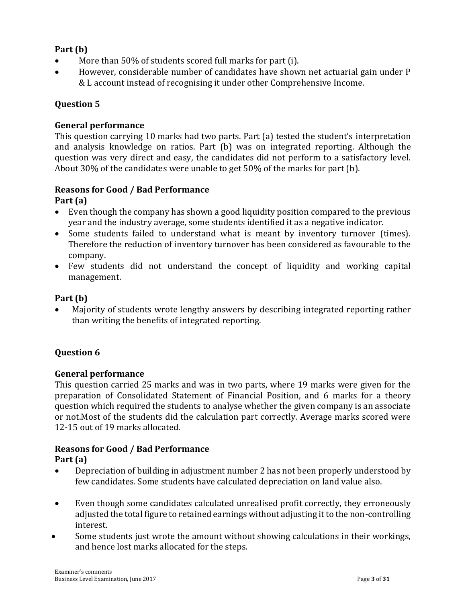# **Part (b)**

- More than 50% of students scored full marks for part (i).
- However, considerable number of candidates have shown net actuarial gain under P & L account instead of recognising it under other Comprehensive Income.

# **Question 5**

## **General performance**

This question carrying 10 marks had two parts. Part (a) tested the student's interpretation and analysis knowledge on ratios. Part (b) was on integrated reporting. Although the question was very direct and easy, the candidates did not perform to a satisfactory level. About 30% of the candidates were unable to get 50% of the marks for part (b).

# **Reasons for Good / Bad Performance**

# **Part (a)**

- Even though the company has shown a good liquidity position compared to the previous year and the industry average, some students identified it as a negative indicator.
- Some students failed to understand what is meant by inventory turnover (times). Therefore the reduction of inventory turnover has been considered as favourable to the company.
- Few students did not understand the concept of liquidity and working capital management.

# **Part (b)**

 Majority of students wrote lengthy answers by describing integrated reporting rather than writing the benefits of integrated reporting.

## **Question 6**

## **General performance**

This question carried 25 marks and was in two parts, where 19 marks were given for the preparation of Consolidated Statement of Financial Position, and 6 marks for a theory question which required the students to analyse whether the given company is an associate or not.Most of the students did the calculation part correctly. Average marks scored were 12-15 out of 19 marks allocated.

# **Reasons for Good / Bad Performance**

## **Part (a)**

- Depreciation of building in adjustment number 2 has not been properly understood by few candidates. Some students have calculated depreciation on land value also.
- Even though some candidates calculated unrealised profit correctly, they erroneously adjusted the total figure to retained earnings without adjusting it to the non-controlling interest.
- Some students just wrote the amount without showing calculations in their workings, and hence lost marks allocated for the steps.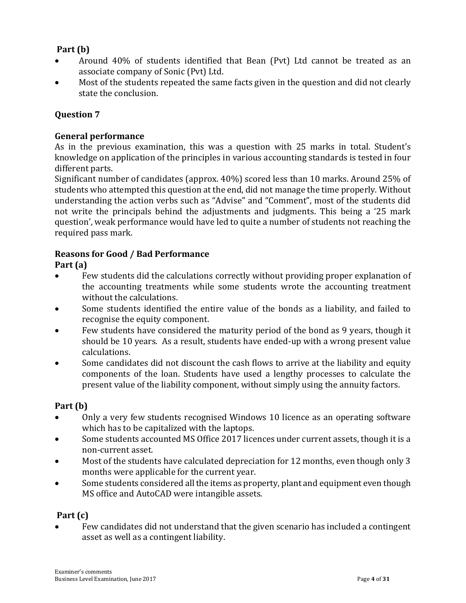# **Part (b)**

- Around 40% of students identified that Bean (Pvt) Ltd cannot be treated as an associate company of Sonic (Pvt) Ltd.
- Most of the students repeated the same facts given in the question and did not clearly state the conclusion.

# **Question 7**

## **General performance**

As in the previous examination, this was a question with 25 marks in total. Student's knowledge on application of the principles in various accounting standards is tested in four different parts.

Significant number of candidates (approx. 40%) scored less than 10 marks. Around 25% of students who attempted this question at the end, did not manage the time properly. Without understanding the action verbs such as "Advise" and "Comment", most of the students did not write the principals behind the adjustments and judgments. This being a '25 mark question', weak performance would have led to quite a number of students not reaching the required pass mark.

# **Reasons for Good / Bad Performance**

**Part (a)** 

- Few students did the calculations correctly without providing proper explanation of the accounting treatments while some students wrote the accounting treatment without the calculations.
- Some students identified the entire value of the bonds as a liability, and failed to recognise the equity component.
- Few students have considered the maturity period of the bond as 9 years, though it should be 10 years. As a result, students have ended-up with a wrong present value calculations.
- Some candidates did not discount the cash flows to arrive at the liability and equity components of the loan. Students have used a lengthy processes to calculate the present value of the liability component, without simply using the annuity factors.

# **Part (b)**

- Only a very few students recognised Windows 10 licence as an operating software which has to be capitalized with the laptops.
- Some students accounted MS Office 2017 licences under current assets, though it is a non-current asset.
- Most of the students have calculated depreciation for 12 months, even though only 3 months were applicable for the current year.
- Some students considered all the items as property, plant and equipment even though MS office and AutoCAD were intangible assets.

# **Part (c)**

 Few candidates did not understand that the given scenario has included a contingent asset as well as a contingent liability.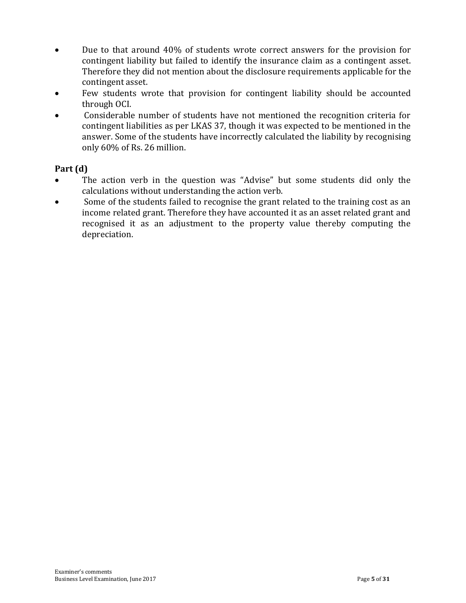- Due to that around 40% of students wrote correct answers for the provision for contingent liability but failed to identify the insurance claim as a contingent asset. Therefore they did not mention about the disclosure requirements applicable for the contingent asset.
- Few students wrote that provision for contingent liability should be accounted through OCI.
- Considerable number of students have not mentioned the recognition criteria for contingent liabilities as per LKAS 37, though it was expected to be mentioned in the answer. Some of the students have incorrectly calculated the liability by recognising only 60% of Rs. 26 million.

# **Part (d)**

- The action verb in the question was "Advise" but some students did only the calculations without understanding the action verb.
- Some of the students failed to recognise the grant related to the training cost as an income related grant. Therefore they have accounted it as an asset related grant and recognised it as an adjustment to the property value thereby computing the depreciation.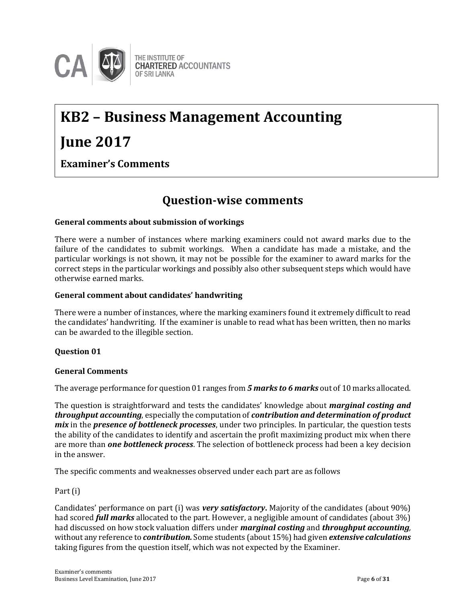

# **KB2 – Business Management Accounting**

# **June 2017**

**Examiner's Comments**

# **Question-wise comments**

#### **General comments about submission of workings**

There were a number of instances where marking examiners could not award marks due to the failure of the candidates to submit workings. When a candidate has made a mistake, and the particular workings is not shown, it may not be possible for the examiner to award marks for the correct steps in the particular workings and possibly also other subsequent steps which would have otherwise earned marks.

#### **General comment about candidates' handwriting**

There were a number of instances, where the marking examiners found it extremely difficult to read the candidates' handwriting. If the examiner is unable to read what has been written, then no marks can be awarded to the illegible section.

#### **Question 01**

#### **General Comments**

The average performance for question 01 ranges from *5 marks to 6 marks* out of 10 marks allocated.

The question is straightforward and tests the candidates' knowledge about *marginal costing and throughput accounting*, especially the computation of *contribution and determination of product mix* in the *presence of bottleneck processes*, under two principles. In particular, the question tests the ability of the candidates to identify and ascertain the profit maximizing product mix when there are more than *one bottleneck process*. The selection of bottleneck process had been a key decision in the answer.

The specific comments and weaknesses observed under each part are as follows

#### Part (i)

Candidates' performance on part (i) was *very satisfactory***.** Majority of the candidates (about 90%) had scored *full marks* allocated to the part. However, a negligible amount of candidates (about 3%) had discussed on how stock valuation differs under *marginal costing* and *throughput accounting,*  without any reference to *contribution.* Some students (about 15%) had given *extensive calculations* taking figures from the question itself, which was not expected by the Examiner.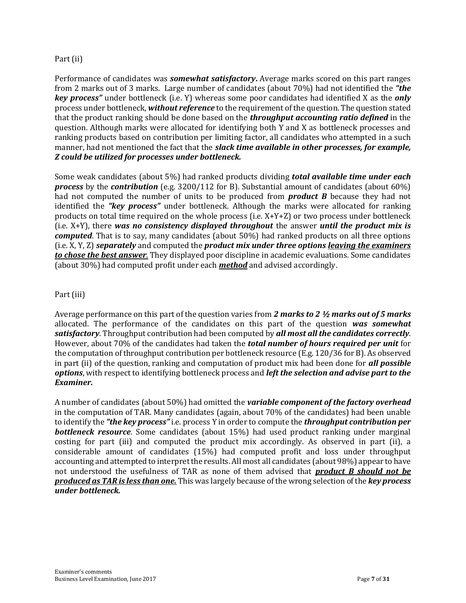#### Part (ii)

Performance of candidates was *somewhat satisfactory***.** Average marks scored on this part ranges from 2 marks out of 3 marks. Large number of candidates (about 70%) had not identified the *"the key process"* under bottleneck (i.e. Y) whereas some poor candidates had identified X as the *only* process under bottleneck, *without reference* to the requirement of the question. The question stated that the product ranking should be done based on the *throughput accounting ratio defined* in the question. Although marks were allocated for identifying both Y and X as bottleneck processes and ranking products based on contribution per limiting factor, all candidates who attempted in a such manner, had not mentioned the fact that the *slack time available in other processes, for example, Z could be utilized for processes under bottleneck.*

Some weak candidates (about 5%) had ranked products dividing *total available time under each process* by the *contribution* (e.g. 3200/112 for B). Substantial amount of candidates (about 60%) had not computed the number of units to be produced from *product B* because they had not identified the *"key process"* under bottleneck. Although the marks were allocated for ranking products on total time required on the whole process (i.e. X+Y+Z) or two process under bottleneck (i.e. X+Y), there *was no consistency displayed throughout* the answer *until the product mix is computed*. That is to say, many candidates (about 50%) had ranked products on all three options (i.e. X, Y, Z) *separately* and computed the *product mix under three options leaving the examiners to chose the best answer*. They displayed poor discipline in academic evaluations. Some candidates (about 30%) had computed profit under each *method* and advised accordingly.

#### Part (iii)

Average performance on this part of the question varies from *2 marks to 2 ½ marks out of 5 marks* allocated. The performance of the candidates on this part of the question *was somewhat satisfactory*. Throughput contribution had been computed by *all most all the candidates correctly*. However, about 70% of the candidates had taken the *total number of hours required per unit* for the computation of throughput contribution per bottleneck resource (E.g. 120/36 for B). As observed in part (ii) of the question, ranking and computation of product mix had been done for *all possible options*, with respect to identifying bottleneck process and *left the selection and advise part to the Examiner.*

A number of candidates (about 50%) had omitted the *variable component of the factory overhead* in the computation of TAR. Many candidates (again, about 70% of the candidates) had been unable to identify the *"the key process"* i.e. process Y in order to compute the *throughput contribution per bottleneck resource*. Some candidates (about 15%) had used product ranking under marginal costing for part (iii) and computed the product mix accordingly. As observed in part (ii), a considerable amount of candidates (15%) had computed profit and loss under throughput accounting and attempted to interpret the results. All most all candidates (about 98%) appear to have not understood the usefulness of TAR as none of them advised that *product B should not be produced as TAR is less than one.* This was largely because of the wrong selection of the *key process under bottleneck.*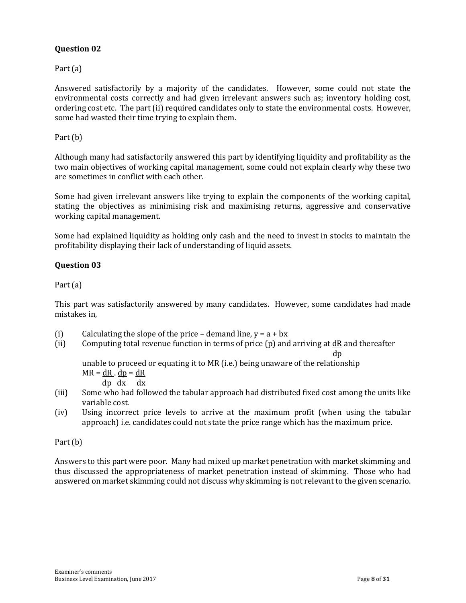Part (a)

Answered satisfactorily by a majority of the candidates. However, some could not state the environmental costs correctly and had given irrelevant answers such as; inventory holding cost, ordering cost etc. The part (ii) required candidates only to state the environmental costs. However, some had wasted their time trying to explain them.

#### Part (b)

Although many had satisfactorily answered this part by identifying liquidity and profitability as the two main objectives of working capital management, some could not explain clearly why these two are sometimes in conflict with each other.

Some had given irrelevant answers like trying to explain the components of the working capital, stating the objectives as minimising risk and maximising returns, aggressive and conservative working capital management.

Some had explained liquidity as holding only cash and the need to invest in stocks to maintain the profitability displaying their lack of understanding of liquid assets.

#### **Question 03**

Part (a)

This part was satisfactorily answered by many candidates. However, some candidates had made mistakes in,

- (i) Calculating the slope of the price demand line,  $y = a + bx$
- (ii) Computing total revenue function in terms of price (p) and arriving at  $dR$  and thereafter

de a construction of the construction of the construction of the construction of the construction of the construction of the construction of the construction of the construction of the construction of the construction of t

unable to proceed or equating it to MR (i.e.) being unaware of the relationship  $MR = dR \cdot dp = dR$ 

- dp dx dx
- (iii) Some who had followed the tabular approach had distributed fixed cost among the units like variable cost.
- (iv) Using incorrect price levels to arrive at the maximum profit (when using the tabular approach) i.e. candidates could not state the price range which has the maximum price.

Part (b)

Answers to this part were poor. Many had mixed up market penetration with market skimming and thus discussed the appropriateness of market penetration instead of skimming. Those who had answered on market skimming could not discuss why skimming is not relevant to the given scenario.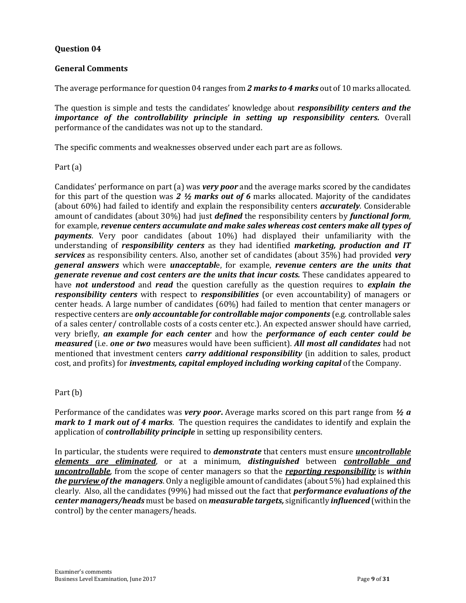#### **General Comments**

The average performance for question 04 ranges from *2 marks to 4 marks* out of 10 marks allocated.

The question is simple and tests the candidates' knowledge about *responsibility centers and the importance of the controllability principle in setting up responsibility centers.* Overall performance of the candidates was not up to the standard.

The specific comments and weaknesses observed under each part are as follows.

#### Part (a)

Candidates' performance on part (a) was *very poor* and the average marks scored by the candidates for this part of the question was *2 ½ marks out of 6* marks allocated. Majority of the candidates (about 60%) had failed to identify and explain the responsibility centers *accurately*. Considerable amount of candidates (about 30%) had just *defined* the responsibility centers by *functional form*, for example, *revenue centers accumulate and make sales whereas cost centers make all types of payments*. Very poor candidates (about 10%) had displayed their unfamiliarity with the understanding of *responsibility centers* as they had identified *marketing, production and IT services* as responsibility centers. Also, another set of candidates (about 35%) had provided *very general answers* which were *unacceptabl*e, for example, *revenue centers are the units that generate revenue and cost centers are the units that incur costs.* These candidates appeared to have *not understood* and *read* the question carefully as the question requires to *explain the responsibility centers* with respect to *responsibilities* (or even accountability) of managers or center heads. A large number of candidates (60%) had failed to mention that center managers or respective centers are *only accountable for controllable major components* (e.g. controllable sales of a sales center/ controllable costs of a costs center etc.). An expected answer should have carried, very briefly, *an example for each center* and how the *performance of each center could be measured* (i.e. *one or two* measures would have been sufficient). *All most all candidates* had not mentioned that investment centers *carry additional responsibility* (in addition to sales, product cost, and profits) for *investments, capital employed including working capital* of the Company.

#### Part (b)

Performance of the candidates was *very poor***.** Average marks scored on this part range from *½ a mark to 1 mark out of 4 marks*. The question requires the candidates to identify and explain the application of *controllability principle* in setting up responsibility centers.

In particular, the students were required to *demonstrate* that centers must ensure *uncontrollable elements are eliminated*, or at a minimum, *distinguished* between *controllable and uncontrollable*, from the scope of center managers so that the *reporting responsibility* is *within the purview of the managers*. Only a negligible amount of candidates (about 5%) had explained this clearly. Also, all the candidates (99%) had missed out the fact that *performance evaluations of the center managers/heads* must be based on *measurable targets,* significantly *influenced* (within the control) by the center managers/heads.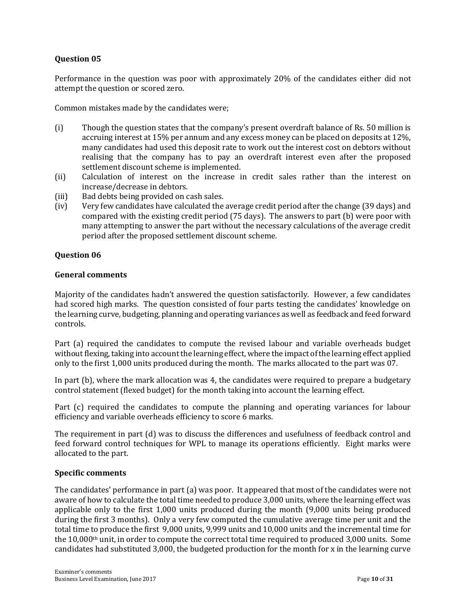Performance in the question was poor with approximately 20% of the candidates either did not attempt the question or scored zero.

Common mistakes made by the candidates were;

- (i) Though the question states that the company's present overdraft balance of Rs. 50 million is accruing interest at 15% per annum and any excess money can be placed on deposits at 12%, many candidates had used this deposit rate to work out the interest cost on debtors without realising that the company has to pay an overdraft interest even after the proposed settlement discount scheme is implemented.
- (ii) Calculation of interest on the increase in credit sales rather than the interest on increase/decrease in debtors.
- (iii) Bad debts being provided on cash sales.
- (iv) Very few candidates have calculated the average credit period after the change (39 days) and compared with the existing credit period (75 days). The answers to part (b) were poor with many attempting to answer the part without the necessary calculations of the average credit period after the proposed settlement discount scheme.

#### **Question 06**

#### **General comments**

Majority of the candidates hadn't answered the question satisfactorily. However, a few candidates had scored high marks. The question consisted of four parts testing the candidates' knowledge on the learning curve, budgeting, planning and operating variances as well as feedback and feed forward controls.

Part (a) required the candidates to compute the revised labour and variable overheads budget without flexing, taking into account the learning effect, where the impact of the learning effect applied only to the first 1,000 units produced during the month. The marks allocated to the part was 07.

In part (b), where the mark allocation was 4, the candidates were required to prepare a budgetary control statement (flexed budget) for the month taking into account the learning effect.

Part (c) required the candidates to compute the planning and operating variances for labour efficiency and variable overheads efficiency to score 6 marks.

The requirement in part (d) was to discuss the differences and usefulness of feedback control and feed forward control techniques for WPL to manage its operations efficiently. Eight marks were allocated to the part.

#### **Specific comments**

The candidates' performance in part (a) was poor. It appeared that most of the candidates were not aware of how to calculate the total time needed to produce 3,000 units, where the learning effect was applicable only to the first 1,000 units produced during the month (9,000 units being produced during the first 3 months). Only a very few computed the cumulative average time per unit and the total time to produce the first 9,000 units, 9,999 units and 10,000 units and the incremental time for the 10,000<sup>th</sup> unit, in order to compute the correct total time required to produced 3,000 units. Some candidates had substituted 3,000, the budgeted production for the month for x in the learning curve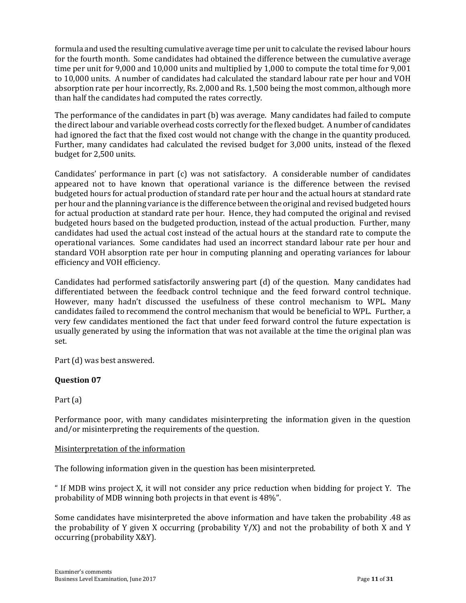formula and used the resulting cumulative average time per unit to calculate the revised labour hours for the fourth month. Some candidates had obtained the difference between the cumulative average time per unit for 9,000 and 10,000 units and multiplied by 1,000 to compute the total time for 9,001 to 10,000 units. A number of candidates had calculated the standard labour rate per hour and VOH absorption rate per hour incorrectly, Rs. 2,000 and Rs. 1,500 being the most common, although more than half the candidates had computed the rates correctly.

The performance of the candidates in part (b) was average. Many candidates had failed to compute the direct labour and variable overhead costs correctly for the flexed budget. A number of candidates had ignored the fact that the fixed cost would not change with the change in the quantity produced. Further, many candidates had calculated the revised budget for 3,000 units, instead of the flexed budget for 2,500 units.

Candidates' performance in part (c) was not satisfactory. A considerable number of candidates appeared not to have known that operational variance is the difference between the revised budgeted hours for actual production of standard rate per hour and the actual hours at standard rate per hour and the planning variance is the difference between the original and revised budgeted hours for actual production at standard rate per hour. Hence, they had computed the original and revised budgeted hours based on the budgeted production, instead of the actual production. Further, many candidates had used the actual cost instead of the actual hours at the standard rate to compute the operational variances. Some candidates had used an incorrect standard labour rate per hour and standard VOH absorption rate per hour in computing planning and operating variances for labour efficiency and VOH efficiency.

Candidates had performed satisfactorily answering part (d) of the question. Many candidates had differentiated between the feedback control technique and the feed forward control technique. However, many hadn't discussed the usefulness of these control mechanism to WPL. Many candidates failed to recommend the control mechanism that would be beneficial to WPL. Further, a very few candidates mentioned the fact that under feed forward control the future expectation is usually generated by using the information that was not available at the time the original plan was set.

Part (d) was best answered.

#### **Question 07**

Part (a)

Performance poor, with many candidates misinterpreting the information given in the question and/or misinterpreting the requirements of the question.

#### Misinterpretation of the information

The following information given in the question has been misinterpreted.

" If MDB wins project X, it will not consider any price reduction when bidding for project Y. The probability of MDB winning both projects in that event is 48%".

Some candidates have misinterpreted the above information and have taken the probability .48 as the probability of Y given X occurring (probability Y/X) and not the probability of both X and Y occurring (probability X&Y).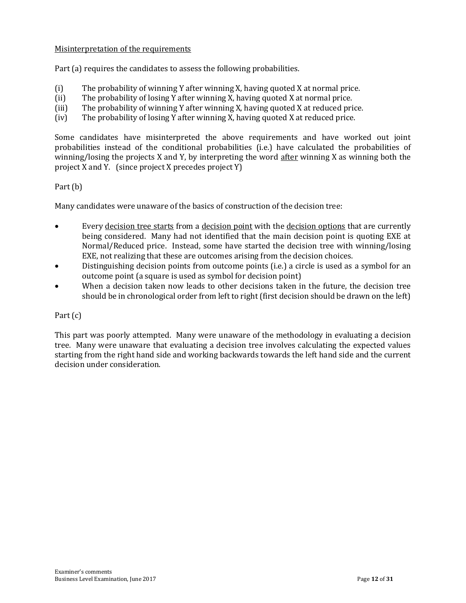#### Misinterpretation of the requirements

Part (a) requires the candidates to assess the following probabilities.

- (i) The probability of winning Y after winning X, having quoted X at normal price.
- (ii) The probability of losing Y after winning X, having quoted X at normal price.
- (iii) The probability of winning Y after winning X, having quoted X at reduced price.
- (iv) The probability of losing Y after winning X, having quoted X at reduced price.

Some candidates have misinterpreted the above requirements and have worked out joint probabilities instead of the conditional probabilities (i.e.) have calculated the probabilities of winning/losing the projects X and Y, by interpreting the word after winning X as winning both the project X and Y. (since project X precedes project Y)

#### Part (b)

Many candidates were unaware of the basics of construction of the decision tree:

- Every decision tree starts from a decision point with the decision options that are currently being considered. Many had not identified that the main decision point is quoting EXE at Normal/Reduced price. Instead, some have started the decision tree with winning/losing EXE, not realizing that these are outcomes arising from the decision choices.
- Distinguishing decision points from outcome points (i.e.) a circle is used as a symbol for an outcome point (a square is used as symbol for decision point)
- When a decision taken now leads to other decisions taken in the future, the decision tree should be in chronological order from left to right (first decision should be drawn on the left)

#### Part (c)

This part was poorly attempted. Many were unaware of the methodology in evaluating a decision tree. Many were unaware that evaluating a decision tree involves calculating the expected values starting from the right hand side and working backwards towards the left hand side and the current decision under consideration.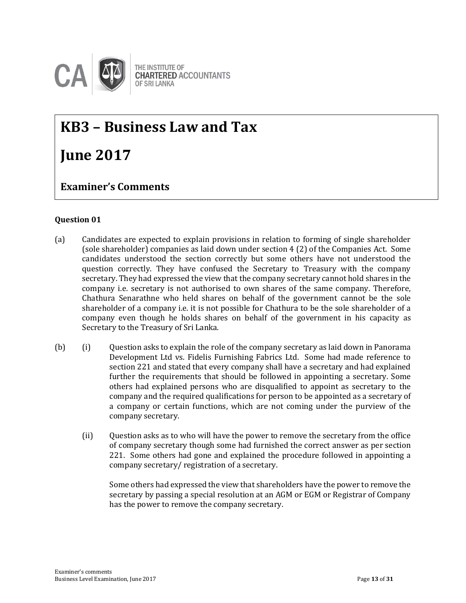

# **KB3 – Business Law and Tax**

# **June 2017**

#### **Question-wise comments Examiner's Comments**

# **Question 01**

- (a) Candidates are expected to explain provisions in relation to forming of single shareholder (sole shareholder) companies as laid down under section 4 (2) of the Companies Act. Some candidates understood the section correctly but some others have not understood the question correctly. They have confused the Secretary to Treasury with the company secretary. They had expressed the view that the company secretary cannot hold shares in the company i.e. secretary is not authorised to own shares of the same company. Therefore, Chathura Senarathne who held shares on behalf of the government cannot be the sole shareholder of a company i.e. it is not possible for Chathura to be the sole shareholder of a company even though he holds shares on behalf of the government in his capacity as Secretary to the Treasury of Sri Lanka.
- (b) (i) Question asks to explain the role of the company secretary as laid down in Panorama Development Ltd vs. Fidelis Furnishing Fabrics Ltd. Some had made reference to section 221 and stated that every company shall have a secretary and had explained further the requirements that should be followed in appointing a secretary. Some others had explained persons who are disqualified to appoint as secretary to the company and the required qualifications for person to be appointed as a secretary of a company or certain functions, which are not coming under the purview of the company secretary.
	- (ii) Question asks as to who will have the power to remove the secretary from the office of company secretary though some had furnished the correct answer as per section 221. Some others had gone and explained the procedure followed in appointing a company secretary/ registration of a secretary.

Some others had expressed the view that shareholders have the power to remove the secretary by passing a special resolution at an AGM or EGM or Registrar of Company has the power to remove the company secretary.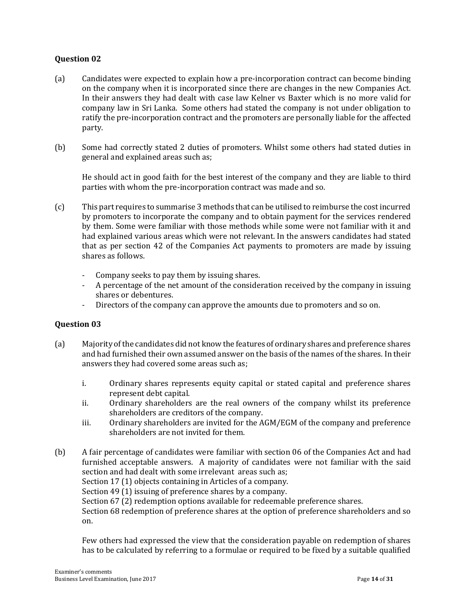- (a) Candidates were expected to explain how a pre-incorporation contract can become binding on the company when it is incorporated since there are changes in the new Companies Act. In their answers they had dealt with case law Kelner vs Baxter which is no more valid for company law in Sri Lanka. Some others had stated the company is not under obligation to ratify the pre-incorporation contract and the promoters are personally liable for the affected party.
- (b) Some had correctly stated 2 duties of promoters. Whilst some others had stated duties in general and explained areas such as;

He should act in good faith for the best interest of the company and they are liable to third parties with whom the pre-incorporation contract was made and so.

- (c) This part requires to summarise 3 methods that can be utilised to reimburse the cost incurred by promoters to incorporate the company and to obtain payment for the services rendered by them. Some were familiar with those methods while some were not familiar with it and had explained various areas which were not relevant. In the answers candidates had stated that as per section 42 of the Companies Act payments to promoters are made by issuing shares as follows.
	- Company seeks to pay them by issuing shares.
	- A percentage of the net amount of the consideration received by the company in issuing shares or debentures.
	- Directors of the company can approve the amounts due to promoters and so on.

#### **Question 03**

- (a) Majority of the candidates did not know the features of ordinary shares and preference shares and had furnished their own assumed answer on the basis of the names of the shares. In their answers they had covered some areas such as;
	- i. Ordinary shares represents equity capital or stated capital and preference shares represent debt capital.
	- ii. Ordinary shareholders are the real owners of the company whilst its preference shareholders are creditors of the company.
	- iii. Ordinary shareholders are invited for the AGM/EGM of the company and preference shareholders are not invited for them.
- (b) A fair percentage of candidates were familiar with section 06 of the Companies Act and had furnished acceptable answers. A majority of candidates were not familiar with the said section and had dealt with some irrelevant areas such as;

Section 17 (1) objects containing in Articles of a company.

Section 49 (1) issuing of preference shares by a company.

Section 67 (2) redemption options available for redeemable preference shares.

Section 68 redemption of preference shares at the option of preference shareholders and so on.

Few others had expressed the view that the consideration payable on redemption of shares has to be calculated by referring to a formulae or required to be fixed by a suitable qualified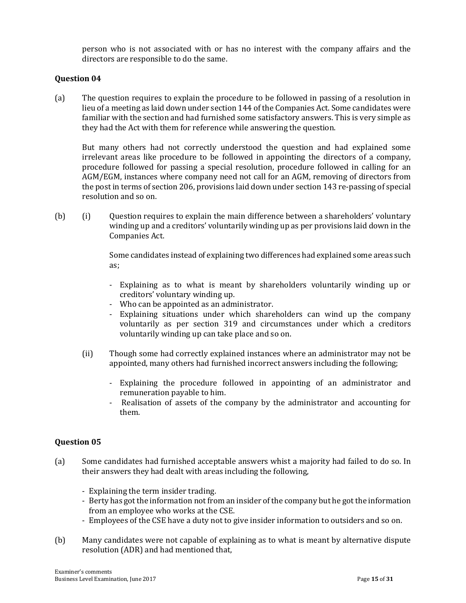person who is not associated with or has no interest with the company affairs and the directors are responsible to do the same.

#### **Question 04**

(a) The question requires to explain the procedure to be followed in passing of a resolution in lieu of a meeting as laid down under section 144 of the Companies Act. Some candidates were familiar with the section and had furnished some satisfactory answers. This is very simple as they had the Act with them for reference while answering the question.

But many others had not correctly understood the question and had explained some irrelevant areas like procedure to be followed in appointing the directors of a company, procedure followed for passing a special resolution, procedure followed in calling for an AGM/EGM, instances where company need not call for an AGM, removing of directors from the post in terms of section 206, provisions laid down under section 143 re-passing of special resolution and so on.

(b) (i) Question requires to explain the main difference between a shareholders' voluntary winding up and a creditors' voluntarily winding up as per provisions laid down in the Companies Act.

> Some candidates instead of explaining two differences had explained some areas such as;

- Explaining as to what is meant by shareholders voluntarily winding up or creditors' voluntary winding up.
- Who can be appointed as an administrator.
- Explaining situations under which shareholders can wind up the company voluntarily as per section 319 and circumstances under which a creditors voluntarily winding up can take place and so on.
- (ii) Though some had correctly explained instances where an administrator may not be appointed, many others had furnished incorrect answers including the following;
	- Explaining the procedure followed in appointing of an administrator and remuneration payable to him.
	- Realisation of assets of the company by the administrator and accounting for them.

#### **Question 05**

- (a) Some candidates had furnished acceptable answers whist a majority had failed to do so. In their answers they had dealt with areas including the following,
	- Explaining the term insider trading.
	- Berty has got the information not from an insider of the company but he got the information from an employee who works at the CSE.
	- Employees of the CSE have a duty not to give insider information to outsiders and so on.
- (b) Many candidates were not capable of explaining as to what is meant by alternative dispute resolution (ADR) and had mentioned that,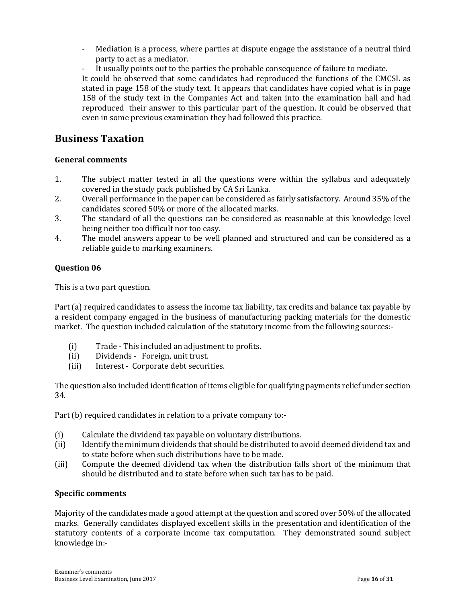- Mediation is a process, where parties at dispute engage the assistance of a neutral third party to act as a mediator.
- It usually points out to the parties the probable consequence of failure to mediate.

It could be observed that some candidates had reproduced the functions of the CMCSL as stated in page 158 of the study text. It appears that candidates have copied what is in page 158 of the study text in the Companies Act and taken into the examination hall and had reproduced their answer to this particular part of the question. It could be observed that even in some previous examination they had followed this practice.

# **Business Taxation**

#### **General comments**

- 1. The subject matter tested in all the questions were within the syllabus and adequately covered in the study pack published by CA Sri Lanka.
- 2. Overall performance in the paper can be considered as fairly satisfactory. Around 35% of the candidates scored 50% or more of the allocated marks.
- 3. The standard of all the questions can be considered as reasonable at this knowledge level being neither too difficult nor too easy.
- 4. The model answers appear to be well planned and structured and can be considered as a reliable guide to marking examiners.

#### **Question 06**

This is a two part question.

Part (a) required candidates to assess the income tax liability, tax credits and balance tax payable by a resident company engaged in the business of manufacturing packing materials for the domestic market. The question included calculation of the statutory income from the following sources:-

- (i) Trade This included an adjustment to profits.
- (ii) Dividends Foreign, unit trust.
- (iii) Interest Corporate debt securities.

The question also included identification of items eligible for qualifying payments relief under section 34.

Part (b) required candidates in relation to a private company to:-

- (i) Calculate the dividend tax payable on voluntary distributions.
- (ii) Identify the minimum dividends that should be distributed to avoid deemed dividend tax and to state before when such distributions have to be made.
- (iii) Compute the deemed dividend tax when the distribution falls short of the minimum that should be distributed and to state before when such tax has to be paid.

#### **Specific comments**

Majority of the candidates made a good attempt at the question and scored over 50% of the allocated marks. Generally candidates displayed excellent skills in the presentation and identification of the statutory contents of a corporate income tax computation. They demonstrated sound subject knowledge in:-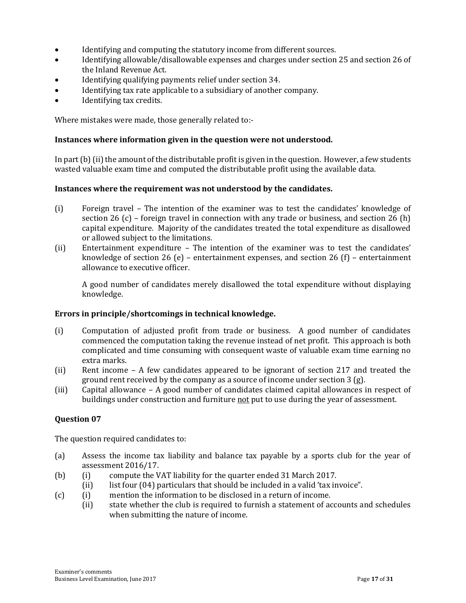- Identifying and computing the statutory income from different sources.
- Identifying allowable/disallowable expenses and charges under section 25 and section 26 of the Inland Revenue Act.
- Identifying qualifying payments relief under section 34.
- Identifying tax rate applicable to a subsidiary of another company.
- Identifying tax credits.

Where mistakes were made, those generally related to:-

#### **Instances where information given in the question were not understood.**

In part (b) (ii) the amount of the distributable profit is given in the question. However, a few students wasted valuable exam time and computed the distributable profit using the available data.

#### **Instances where the requirement was not understood by the candidates.**

- (i) Foreign travel The intention of the examiner was to test the candidates' knowledge of section 26 (c) – foreign travel in connection with any trade or business, and section 26 (h) capital expenditure. Majority of the candidates treated the total expenditure as disallowed or allowed subject to the limitations.
- (ii) Entertainment expenditure The intention of the examiner was to test the candidates' knowledge of section 26 (e) – entertainment expenses, and section 26 (f) – entertainment allowance to executive officer.

A good number of candidates merely disallowed the total expenditure without displaying knowledge.

#### **Errors in principle/shortcomings in technical knowledge.**

- (i) Computation of adjusted profit from trade or business. A good number of candidates commenced the computation taking the revenue instead of net profit. This approach is both complicated and time consuming with consequent waste of valuable exam time earning no extra marks.
- (ii) Rent income A few candidates appeared to be ignorant of section 217 and treated the ground rent received by the company as a source of income under section 3 (g).
- (iii) Capital allowance A good number of candidates claimed capital allowances in respect of buildings under construction and furniture not put to use during the year of assessment.

#### **Question 07**

The question required candidates to:

- (a) Assess the income tax liability and balance tax payable by a sports club for the year of assessment 2016/17.
- (b) (i) compute the VAT liability for the quarter ended 31 March 2017.
- (ii) list four (04) particulars that should be included in a valid 'tax invoice".
- (c) (i) mention the information to be disclosed in a return of income.
	- (ii) state whether the club is required to furnish a statement of accounts and schedules when submitting the nature of income.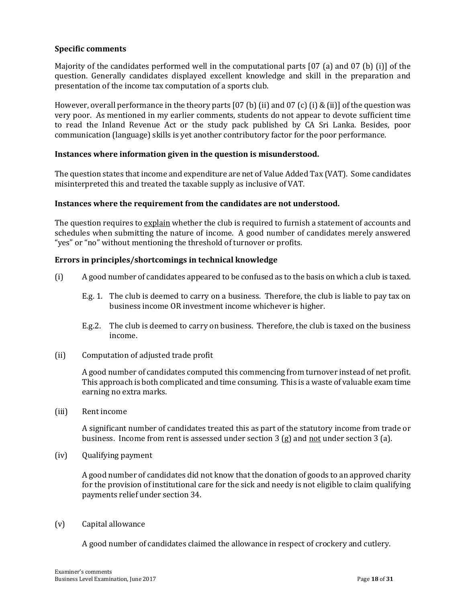#### **Specific comments**

Majority of the candidates performed well in the computational parts [07 (a) and 07 (b) (i)] of the question. Generally candidates displayed excellent knowledge and skill in the preparation and presentation of the income tax computation of a sports club.

However, overall performance in the theory parts [07 (b) (ii) and 07 (c) (i) & (ii)] of the question was very poor. As mentioned in my earlier comments, students do not appear to devote sufficient time to read the Inland Revenue Act or the study pack published by CA Sri Lanka. Besides, poor communication (language) skills is yet another contributory factor for the poor performance.

#### **Instances where information given in the question is misunderstood.**

The question states that income and expenditure are net of Value Added Tax (VAT). Some candidates misinterpreted this and treated the taxable supply as inclusive of VAT.

#### **Instances where the requirement from the candidates are not understood.**

The question requires to explain whether the club is required to furnish a statement of accounts and schedules when submitting the nature of income. A good number of candidates merely answered "yes" or "no" without mentioning the threshold of turnover or profits.

#### **Errors in principles/shortcomings in technical knowledge**

- (i) A good number of candidates appeared to be confused as to the basis on which a club is taxed.
	- E.g. 1. The club is deemed to carry on a business. Therefore, the club is liable to pay tax on business income OR investment income whichever is higher.
	- E.g.2. The club is deemed to carry on business. Therefore, the club is taxed on the business income.
- (ii) Computation of adjusted trade profit

A good number of candidates computed this commencing from turnover instead of net profit. This approach is both complicated and time consuming. This is a waste of valuable exam time earning no extra marks.

(iii) Rent income

A significant number of candidates treated this as part of the statutory income from trade or business. Income from rent is assessed under section 3 (g) and not under section 3 (a).

(iv) Qualifying payment

A good number of candidates did not know that the donation of goods to an approved charity for the provision of institutional care for the sick and needy is not eligible to claim qualifying payments relief under section 34.

(v) Capital allowance

A good number of candidates claimed the allowance in respect of crockery and cutlery.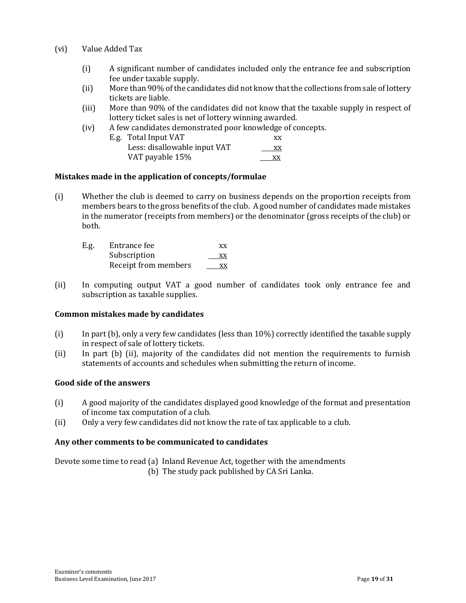- (vi) Value Added Tax
	- (i) A significant number of candidates included only the entrance fee and subscription fee under taxable supply.
	- (ii) More than 90% of the candidates did not know that the collections from sale of lottery tickets are liable.
	- (iii) More than 90% of the candidates did not know that the taxable supply in respect of lottery ticket sales is net of lottery winning awarded.
	- (iv) A few candidates demonstrated poor knowledge of concepts.

| E.g. Total Input VAT         | XX |
|------------------------------|----|
| Less: disallowable input VAT | XX |
| VAT payable 15%              | XX |

#### **Mistakes made in the application of concepts/formulae**

(i) Whether the club is deemed to carry on business depends on the proportion receipts from members bears to the gross benefits of the club. A good number of candidates made mistakes in the numerator (receipts from members) or the denominator (gross receipts of the club) or both.

| E.g. | Entrance fee         | XX |
|------|----------------------|----|
|      | Subscription         | XX |
|      | Receipt from members | XX |

(ii) In computing output VAT a good number of candidates took only entrance fee and subscription as taxable supplies.

#### **Common mistakes made by candidates**

- (i) In part (b), only a very few candidates (less than 10%) correctly identified the taxable supply in respect of sale of lottery tickets.
- (ii) In part (b) (ii), majority of the candidates did not mention the requirements to furnish statements of accounts and schedules when submitting the return of income.

#### **Good side of the answers**

- (i) A good majority of the candidates displayed good knowledge of the format and presentation of income tax computation of a club.
- (ii) Only a very few candidates did not know the rate of tax applicable to a club.

#### **Any other comments to be communicated to candidates**

Devote some time to read (a) Inland Revenue Act, together with the amendments

(b) The study pack published by CA Sri Lanka.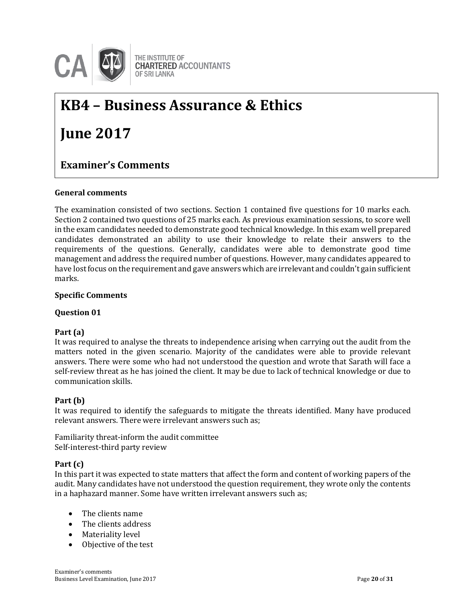

# **KB4 – Business Assurance & Ethics**

# **June 2017**

#### $\mathbf{S}$ **Examiner's Comments**

### **General comments**

The examination consisted of two sections. Section 1 contained five questions for 10 marks each. Section 2 contained two questions of 25 marks each. As previous examination sessions, to score well in the exam candidates needed to demonstrate good technical knowledge. In this exam well prepared candidates demonstrated an ability to use their knowledge to relate their answers to the requirements of the questions. Generally, candidates were able to demonstrate good time management and address the required number of questions. However, many candidates appeared to have lost focus on the requirement and gave answers which are irrelevant and couldn't gain sufficient marks.

#### **Specific Comments**

#### **Question 01**

#### **Part (a)**

It was required to analyse the threats to independence arising when carrying out the audit from the matters noted in the given scenario. Majority of the candidates were able to provide relevant answers. There were some who had not understood the question and wrote that Sarath will face a self-review threat as he has joined the client. It may be due to lack of technical knowledge or due to communication skills.

#### **Part (b)**

It was required to identify the safeguards to mitigate the threats identified. Many have produced relevant answers. There were irrelevant answers such as;

Familiarity threat-inform the audit committee Self-interest-third party review

#### **Part (c)**

In this part it was expected to state matters that affect the form and content of working papers of the audit. Many candidates have not understood the question requirement, they wrote only the contents in a haphazard manner. Some have written irrelevant answers such as;

- The clients name
- The clients address
- Materiality level
- Objective of the test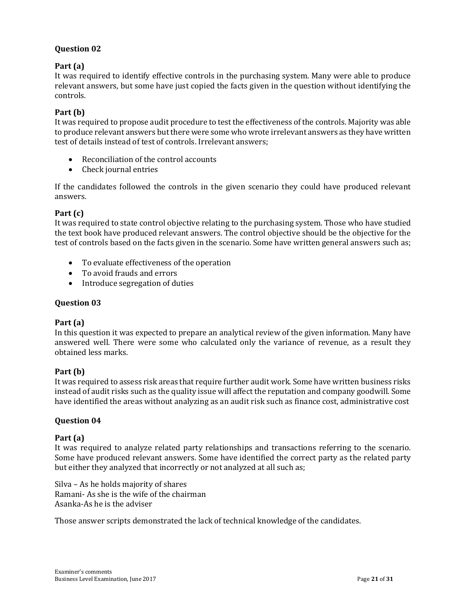#### **Part (a)**

It was required to identify effective controls in the purchasing system. Many were able to produce relevant answers, but some have just copied the facts given in the question without identifying the controls.

#### **Part (b)**

It was required to propose audit procedure to test the effectiveness of the controls. Majority was able to produce relevant answers but there were some who wrote irrelevant answers as they have written test of details instead of test of controls. Irrelevant answers;

- Reconciliation of the control accounts
- Check journal entries

If the candidates followed the controls in the given scenario they could have produced relevant answers.

#### **Part (c)**

It was required to state control objective relating to the purchasing system. Those who have studied the text book have produced relevant answers. The control objective should be the objective for the test of controls based on the facts given in the scenario. Some have written general answers such as;

- To evaluate effectiveness of the operation
- To avoid frauds and errors
- Introduce segregation of duties

#### **Question 03**

#### **Part (a)**

In this question it was expected to prepare an analytical review of the given information. Many have answered well. There were some who calculated only the variance of revenue, as a result they obtained less marks.

#### **Part (b)**

It was required to assess risk areas that require further audit work. Some have written business risks instead of audit risks such as the quality issue will affect the reputation and company goodwill. Some have identified the areas without analyzing as an audit risk such as finance cost, administrative cost

#### **Question 04**

#### **Part (a)**

It was required to analyze related party relationships and transactions referring to the scenario. Some have produced relevant answers. Some have identified the correct party as the related party but either they analyzed that incorrectly or not analyzed at all such as;

Silva – As he holds majority of shares Ramani- As she is the wife of the chairman Asanka-As he is the adviser

Those answer scripts demonstrated the lack of technical knowledge of the candidates.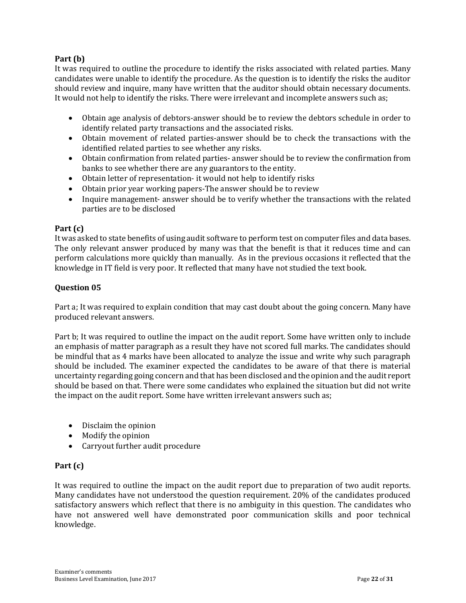## **Part (b)**

It was required to outline the procedure to identify the risks associated with related parties. Many candidates were unable to identify the procedure. As the question is to identify the risks the auditor should review and inquire, many have written that the auditor should obtain necessary documents. It would not help to identify the risks. There were irrelevant and incomplete answers such as;

- Obtain age analysis of debtors-answer should be to review the debtors schedule in order to identify related party transactions and the associated risks.
- Obtain movement of related parties-answer should be to check the transactions with the identified related parties to see whether any risks.
- Obtain confirmation from related parties- answer should be to review the confirmation from banks to see whether there are any guarantors to the entity.
- Obtain letter of representation- it would not help to identify risks
- Obtain prior year working papers-The answer should be to review
- Inquire management- answer should be to verify whether the transactions with the related parties are to be disclosed

#### **Part (c)**

It was asked to state benefits of using audit software to perform test on computer files and data bases. The only relevant answer produced by many was that the benefit is that it reduces time and can perform calculations more quickly than manually. As in the previous occasions it reflected that the knowledge in IT field is very poor. It reflected that many have not studied the text book.

#### **Question 05**

Part a; It was required to explain condition that may cast doubt about the going concern. Many have produced relevant answers.

Part b; It was required to outline the impact on the audit report. Some have written only to include an emphasis of matter paragraph as a result they have not scored full marks. The candidates should be mindful that as 4 marks have been allocated to analyze the issue and write why such paragraph should be included. The examiner expected the candidates to be aware of that there is material uncertainty regarding going concern and that has been disclosed and the opinion and the audit report should be based on that. There were some candidates who explained the situation but did not write the impact on the audit report. Some have written irrelevant answers such as;

- Disclaim the opinion
- Modify the opinion
- Carryout further audit procedure

#### **Part (c)**

It was required to outline the impact on the audit report due to preparation of two audit reports. Many candidates have not understood the question requirement. 20% of the candidates produced satisfactory answers which reflect that there is no ambiguity in this question. The candidates who have not answered well have demonstrated poor communication skills and poor technical knowledge.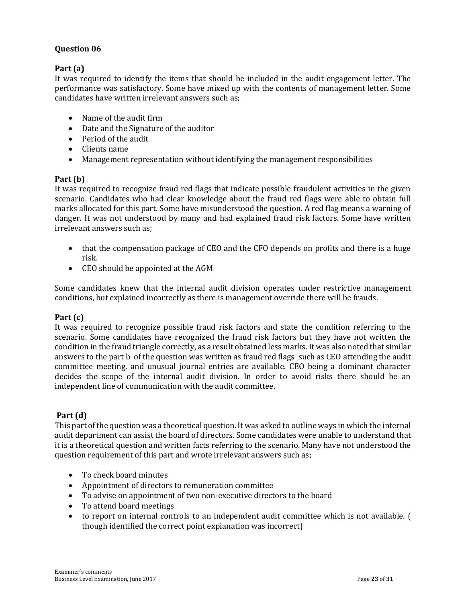#### **Part (a)**

It was required to identify the items that should be included in the audit engagement letter. The performance was satisfactory. Some have mixed up with the contents of management letter. Some candidates have written irrelevant answers such as;

- Name of the audit firm
- Date and the Signature of the auditor
- Period of the audit
- Clients name
- Management representation without identifying the management responsibilities

#### **Part (b)**

It was required to recognize fraud red flags that indicate possible fraudulent activities in the given scenario. Candidates who had clear knowledge about the fraud red flags were able to obtain full marks allocated for this part. Some have misunderstood the question. A red flag means a warning of danger. It was not understood by many and had explained fraud risk factors. Some have written irrelevant answers such as;

- that the compensation package of CEO and the CFO depends on profits and there is a huge risk.
- CEO should be appointed at the AGM

Some candidates knew that the internal audit division operates under restrictive management conditions, but explained incorrectly as there is management override there will be frauds.

#### **Part (c)**

It was required to recognize possible fraud risk factors and state the condition referring to the scenario. Some candidates have recognized the fraud risk factors but they have not written the condition in the fraud triangle correctly, as a result obtained less marks. It was also noted that similar answers to the part b of the question was written as fraud red flags such as CEO attending the audit committee meeting, and unusual journal entries are available. CEO being a dominant character decides the scope of the internal audit division. In order to avoid risks there should be an independent line of communication with the audit committee.

#### **Part (d)**

This part of the question was a theoretical question. It was asked to outline ways in which the internal audit department can assist the board of directors. Some candidates were unable to understand that it is a theoretical question and written facts referring to the scenario. Many have not understood the question requirement of this part and wrote irrelevant answers such as;

- To check board minutes
- Appointment of directors to remuneration committee
- To advise on appointment of two non-executive directors to the board
- To attend board meetings
- to report on internal controls to an independent audit committee which is not available. ( though identified the correct point explanation was incorrect)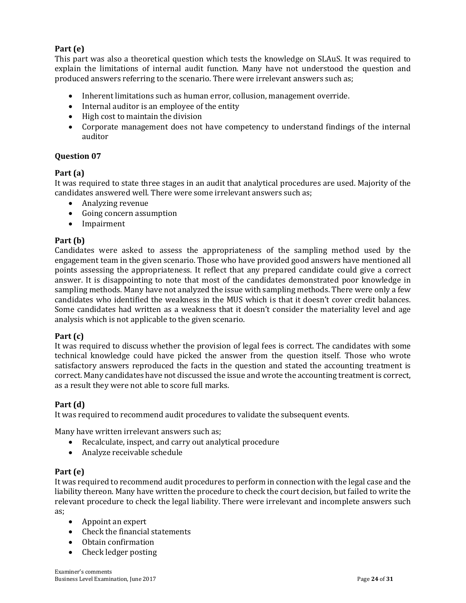## **Part (e)**

This part was also a theoretical question which tests the knowledge on SLAuS. It was required to explain the limitations of internal audit function. Many have not understood the question and produced answers referring to the scenario. There were irrelevant answers such as;

- Inherent limitations such as human error, collusion, management override.
- Internal auditor is an employee of the entity
- $\bullet$  High cost to maintain the division
- Corporate management does not have competency to understand findings of the internal auditor

#### **Question 07**

#### **Part (a)**

It was required to state three stages in an audit that analytical procedures are used. Majority of the candidates answered well. There were some irrelevant answers such as;

- Analyzing revenue
- Going concern assumption
- Impairment

#### **Part (b)**

Candidates were asked to assess the appropriateness of the sampling method used by the engagement team in the given scenario. Those who have provided good answers have mentioned all points assessing the appropriateness. It reflect that any prepared candidate could give a correct answer. It is disappointing to note that most of the candidates demonstrated poor knowledge in sampling methods. Many have not analyzed the issue with sampling methods. There were only a few candidates who identified the weakness in the MUS which is that it doesn't cover credit balances. Some candidates had written as a weakness that it doesn't consider the materiality level and age analysis which is not applicable to the given scenario.

#### **Part (c)**

It was required to discuss whether the provision of legal fees is correct. The candidates with some technical knowledge could have picked the answer from the question itself. Those who wrote satisfactory answers reproduced the facts in the question and stated the accounting treatment is correct. Many candidates have not discussed the issue and wrote the accounting treatment is correct, as a result they were not able to score full marks.

#### **Part (d)**

It was required to recommend audit procedures to validate the subsequent events.

Many have written irrelevant answers such as;

- Recalculate, inspect, and carry out analytical procedure
- Analyze receivable schedule

#### **Part (e)**

It was required to recommend audit procedures to perform in connection with the legal case and the liability thereon. Many have written the procedure to check the court decision, but failed to write the relevant procedure to check the legal liability. There were irrelevant and incomplete answers such as;

- Appoint an expert
- Check the financial statements
- Obtain confirmation
- Check ledger posting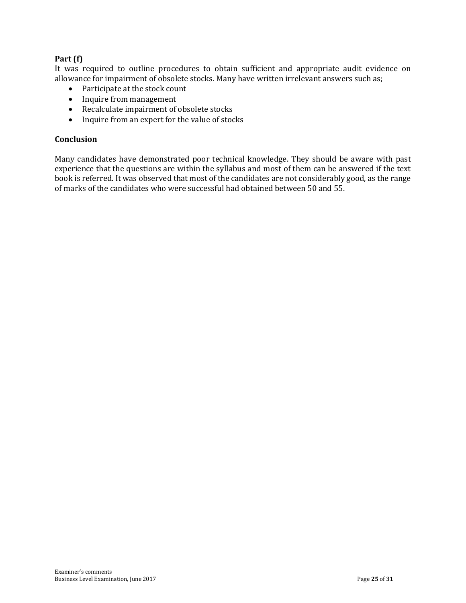### **Part (f)**

It was required to outline procedures to obtain sufficient and appropriate audit evidence on allowance for impairment of obsolete stocks. Many have written irrelevant answers such as;

- Participate at the stock count
- Inquire from management
- Recalculate impairment of obsolete stocks
- Inquire from an expert for the value of stocks

#### **Conclusion**

Many candidates have demonstrated poor technical knowledge. They should be aware with past experience that the questions are within the syllabus and most of them can be answered if the text book is referred. It was observed that most of the candidates are not considerably good, as the range of marks of the candidates who were successful had obtained between 50 and 55.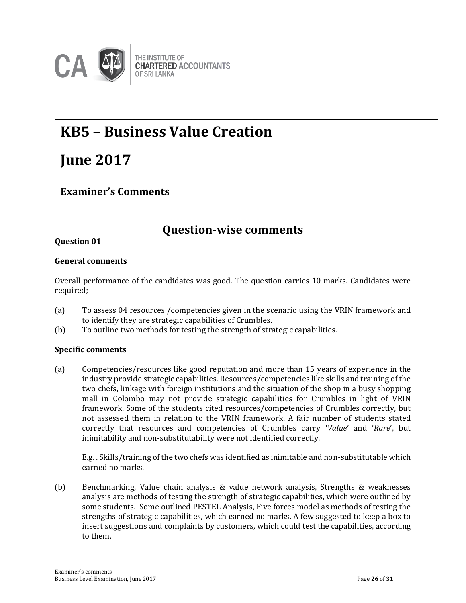

# **KB5 – Business Value Creation**

**June 2017**

# **Examiner's Comments**

# **Question-wise comments**

#### **Question 01**

#### **General comments**

Overall performance of the candidates was good. The question carries 10 marks. Candidates were required;

- (a) To assess 04 resources /competencies given in the scenario using the VRIN framework and to identify they are strategic capabilities of Crumbles.
- (b) To outline two methods for testing the strength of strategic capabilities.

#### **Specific comments**

(a) Competencies/resources like good reputation and more than 15 years of experience in the industry provide strategic capabilities. Resources/competencies like skills and training of the two chefs, linkage with foreign institutions and the situation of the shop in a busy shopping mall in Colombo may not provide strategic capabilities for Crumbles in light of VRIN framework. Some of the students cited resources/competencies of Crumbles correctly, but not assessed them in relation to the VRIN framework. A fair number of students stated correctly that resources and competencies of Crumbles carry '*Value*' and '*Rare*', but inimitability and non-substitutability were not identified correctly.

E.g. . Skills/training of the two chefs was identified as inimitable and non-substitutable which earned no marks.

(b) Benchmarking, Value chain analysis & value network analysis, Strengths & weaknesses analysis are methods of testing the strength of strategic capabilities, which were outlined by some students. Some outlined PESTEL Analysis, Five forces model as methods of testing the strengths of strategic capabilities, which earned no marks. A few suggested to keep a box to insert suggestions and complaints by customers, which could test the capabilities, according to them.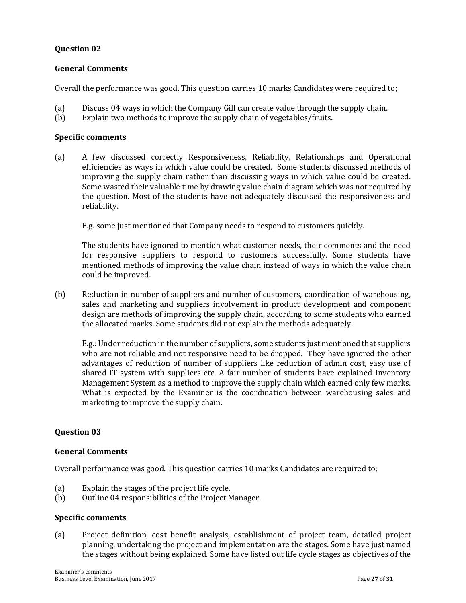#### **General Comments**

Overall the performance was good. This question carries 10 marks Candidates were required to;

- (a) Discuss 04 ways in which the Company Gill can create value through the supply chain.
- (b) Explain two methods to improve the supply chain of vegetables/fruits.

#### **Specific comments**

(a) A few discussed correctly Responsiveness, Reliability, Relationships and Operational efficiencies as ways in which value could be created. Some students discussed methods of improving the supply chain rather than discussing ways in which value could be created. Some wasted their valuable time by drawing value chain diagram which was not required by the question. Most of the students have not adequately discussed the responsiveness and reliability.

E.g. some just mentioned that Company needs to respond to customers quickly.

The students have ignored to mention what customer needs, their comments and the need for responsive suppliers to respond to customers successfully. Some students have mentioned methods of improving the value chain instead of ways in which the value chain could be improved.

(b) Reduction in number of suppliers and number of customers, coordination of warehousing, sales and marketing and suppliers involvement in product development and component design are methods of improving the supply chain, according to some students who earned the allocated marks. Some students did not explain the methods adequately.

E.g.:Under reduction in the number of suppliers, some students just mentioned that suppliers who are not reliable and not responsive need to be dropped. They have ignored the other advantages of reduction of number of suppliers like reduction of admin cost, easy use of shared IT system with suppliers etc. A fair number of students have explained Inventory Management System as a method to improve the supply chain which earned only few marks. What is expected by the Examiner is the coordination between warehousing sales and marketing to improve the supply chain.

#### **Question 03**

#### **General Comments**

Overall performance was good. This question carries 10 marks Candidates are required to;

- (a) Explain the stages of the project life cycle.
- (b) Outline 04 responsibilities of the Project Manager.

#### **Specific comments**

(a) Project definition, cost benefit analysis, establishment of project team, detailed project planning, undertaking the project and implementation are the stages. Some have just named the stages without being explained. Some have listed out life cycle stages as objectives of the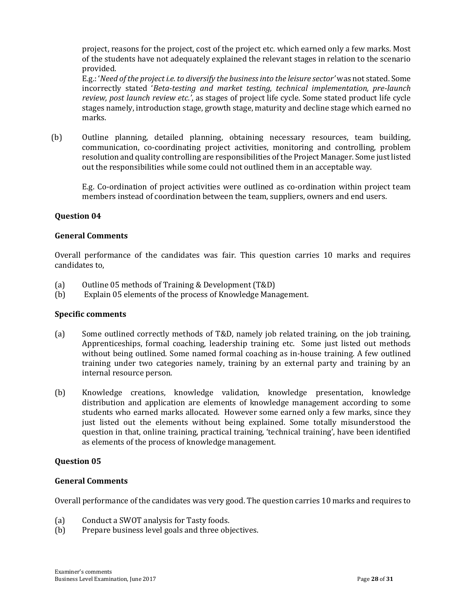project, reasons for the project, cost of the project etc. which earned only a few marks. Most of the students have not adequately explained the relevant stages in relation to the scenario provided.

E.g.: '*Need of the project i.e. to diversify the business into the leisure sector'* was not stated. Some incorrectly stated '*Beta-testing and market testing, technical implementation, pre-launch review, post launch review etc.'*, as stages of project life cycle. Some stated product life cycle stages namely, introduction stage, growth stage, maturity and decline stage which earned no marks.

(b) Outline planning, detailed planning, obtaining necessary resources, team building, communication, co-coordinating project activities, monitoring and controlling, problem resolution and quality controlling are responsibilities of the Project Manager. Some just listed out the responsibilities while some could not outlined them in an acceptable way.

E.g. Co-ordination of project activities were outlined as co-ordination within project team members instead of coordination between the team, suppliers, owners and end users.

#### **Question 04**

#### **General Comments**

Overall performance of the candidates was fair. This question carries 10 marks and requires candidates to,

- (a) Outline 05 methods of Training & Development (T&D)
- (b) Explain 05 elements of the process of Knowledge Management.

#### **Specific comments**

- (a) Some outlined correctly methods of T&D, namely job related training, on the job training, Apprenticeships, formal coaching, leadership training etc. Some just listed out methods without being outlined. Some named formal coaching as in-house training. A few outlined training under two categories namely, training by an external party and training by an internal resource person.
- (b) Knowledge creations, knowledge validation, knowledge presentation, knowledge distribution and application are elements of knowledge management according to some students who earned marks allocated. However some earned only a few marks, since they just listed out the elements without being explained. Some totally misunderstood the question in that, online training, practical training, 'technical training', have been identified as elements of the process of knowledge management.

#### **Question 05**

#### **General Comments**

Overall performance of the candidates was very good. The question carries 10 marks and requires to

- (a) Conduct a SWOT analysis for Tasty foods.
- (b) Prepare business level goals and three objectives.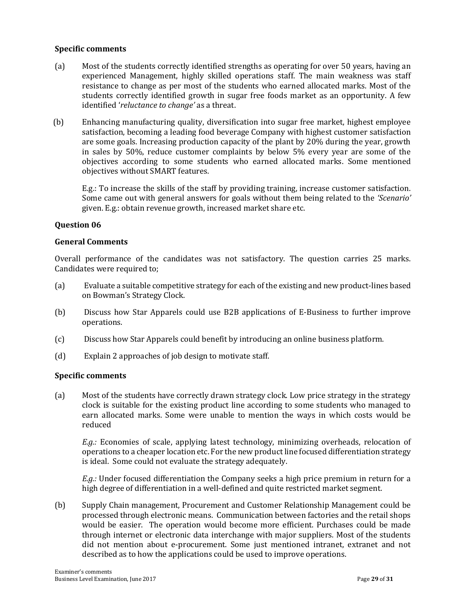#### **Specific comments**

- (a) Most of the students correctly identified strengths as operating for over 50 years, having an experienced Management, highly skilled operations staff. The main weakness was staff resistance to change as per most of the students who earned allocated marks. Most of the students correctly identified growth in sugar free foods market as an opportunity. A few identified '*reluctance to change'* as a threat.
- (b) Enhancing manufacturing quality, diversification into sugar free market, highest employee satisfaction, becoming a leading food beverage Company with highest customer satisfaction are some goals. Increasing production capacity of the plant by 20% during the year, growth in sales by 50%, reduce customer complaints by below 5% every year are some of the objectives according to some students who earned allocated marks. Some mentioned objectives without SMART features.

E.g.: To increase the skills of the staff by providing training, increase customer satisfaction. Some came out with general answers for goals without them being related to the *'Scenario'* given. E.g.: obtain revenue growth, increased market share etc.

#### **Question 06**

#### **General Comments**

Overall performance of the candidates was not satisfactory. The question carries 25 marks. Candidates were required to;

- (a) Evaluate a suitable competitive strategy for each of the existing and new product-lines based on Bowman's Strategy Clock.
- (b) Discuss how Star Apparels could use B2B applications of E-Business to further improve operations.
- (c) Discuss how Star Apparels could benefit by introducing an online business platform.
- (d) Explain 2 approaches of job design to motivate staff.

#### **Specific comments**

(a) Most of the students have correctly drawn strategy clock. Low price strategy in the strategy clock is suitable for the existing product line according to some students who managed to earn allocated marks. Some were unable to mention the ways in which costs would be reduced

*E.g.:* Economies of scale, applying latest technology, minimizing overheads, relocation of operations to a cheaper location etc. For the new product line focused differentiation strategy is ideal. Some could not evaluate the strategy adequately.

*E.g.:* Under focused differentiation the Company seeks a high price premium in return for a high degree of differentiation in a well-defined and quite restricted market segment.

(b) Supply Chain management, Procurement and Customer Relationship Management could be processed through electronic means. Communication between factories and the retail shops would be easier. The operation would become more efficient. Purchases could be made through internet or electronic data interchange with major suppliers. Most of the students did not mention about e-procurement. Some just mentioned intranet, extranet and not described as to how the applications could be used to improve operations.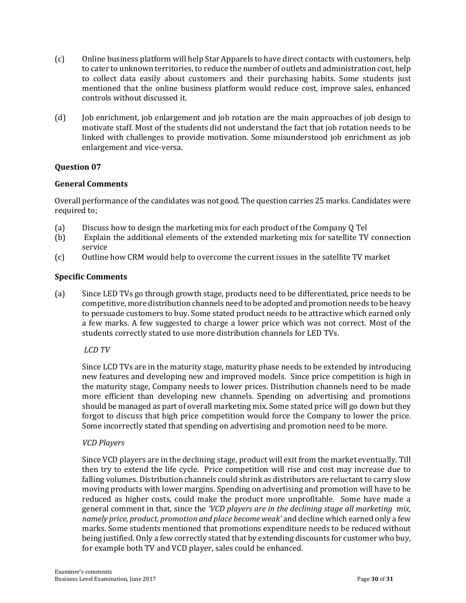- (c) Online business platform will help Star Apparels to have direct contacts with customers, help to cater to unknown territories, to reduce the number of outlets and administration cost, help to collect data easily about customers and their purchasing habits. Some students just mentioned that the online business platform would reduce cost, improve sales, enhanced controls without discussed it.
- (d) Job enrichment, job enlargement and job rotation are the main approaches of job design to motivate staff. Most of the students did not understand the fact that job rotation needs to be linked with challenges to provide motivation. Some misunderstood job enrichment as job enlargement and vice-versa.

#### **General Comments**

Overall performance of the candidates was not good. The question carries 25 marks. Candidates were required to;

- (a) Discuss how to design the marketing mix for each product of the Company Q Tel
- (b) Explain the additional elements of the extended marketing mix for satellite TV connection service
- (c) Outline how CRM would help to overcome the current issues in the satellite TV market

#### **Specific Comments**

(a) Since LED TVs go through growth stage, products need to be differentiated, price needs to be competitive, more distribution channels need to be adopted and promotion needs to be heavy to persuade customers to buy. Some stated product needs to be attractive which earned only a few marks. A few suggested to charge a lower price which was not correct. Most of the students correctly stated to use more distribution channels for LED TVs.

#### *LCD TV*

Since LCD TVs are in the maturity stage, maturity phase needs to be extended by introducing new features and developing new and improved models. Since price competition is high in the maturity stage, Company needs to lower prices. Distribution channels need to be made more efficient than developing new channels. Spending on advertising and promotions should be managed as part of overall marketing mix. Some stated price will go down but they forgot to discuss that high price competition would force the Company to lower the price. Some incorrectly stated that spending on advertising and promotion need to be more.

#### *VCD Players*

Since VCD players are in the declining stage, product will exit from the market eventually. Till then try to extend the life cycle. Price competition will rise and cost may increase due to falling volumes. Distribution channels could shrink as distributors are reluctant to carry slow moving products with lower margins. Spending on advertising and promotion will have to be reduced as higher costs, could make the product more unprofitable. Some have made a general comment in that, since the *'VCD players are in the declining stage all marketing mix, namely price, product, promotion and place become weak'* and decline which earned only a few marks. Some students mentioned that promotions expenditure needs to be reduced without being justified. Only a few correctly stated that by extending discounts for customer who buy, for example both TV and VCD player, sales could be enhanced.